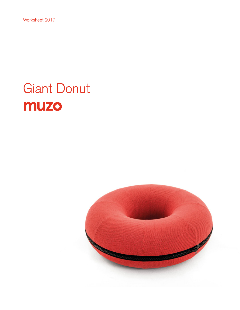Worksheet 2017

# Giant Donut muzo

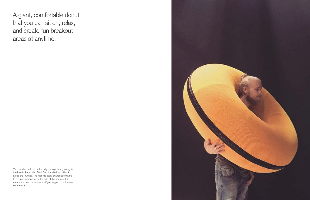A giant, comfortable donut that you can sit on, relax, and create fun breakout areas at anytime.

You can choose to sit on the edge or to get really comfy in the hole in the middle. Giant Donut is ideal for chill-out areas and lounges. The fabric is easily changeable thanks to a super-sized zipper on the side of the product. This means you don't have to worry if you happen to spill some coffee on it.

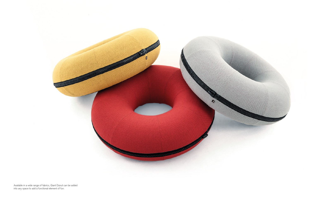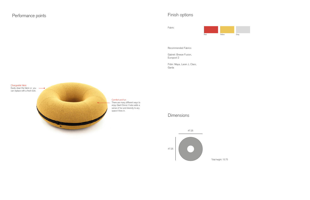### Comfort and fun There are many different ways to

enjoy Giant Donut. It also adds a sense of fun and diversity to any space it lives in.

Changeable fabric Easily clean the fabric or you can replace with a fresh look.

 $\sqrt{a}$ 

## Dimensions

# Performance points **Finish options**

Fabric

Red **Yellow** Gray

Recommended Fabrics

Gabriel: Breeze Fusion, Europost 2

Fidivi: Maya, Laser J, Class, Garda